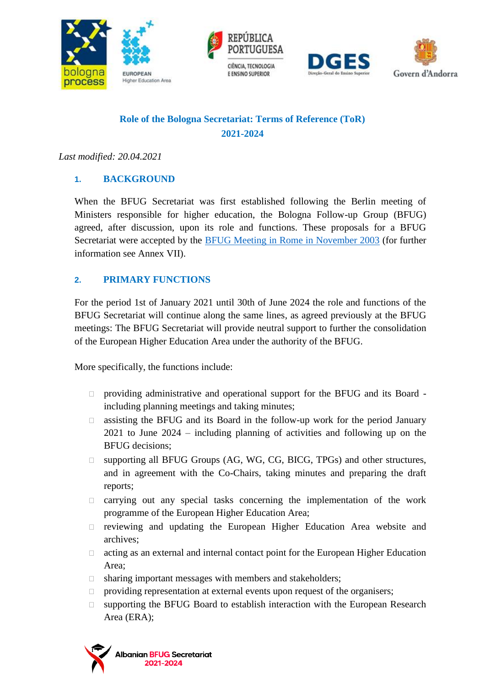







# **Role of the Bologna Secretariat: Terms of Reference (ToR) 2021-2024**

*Last modified: 20.04.2021*

## **1. BACKGROUND**

When the BFUG Secretariat was first established following the Berlin meeting of Ministers responsible for higher education, the Bologna Follow-up Group (BFUG) agreed, after discussion, upon its role and functions. These proposals for a BFUG Secretariat were accepted by the [BFUG Meeting in Rome in November 2003](http://www.ehea.info/cid102130/bfug-meeting.html) (for further information see Annex VII).

## **2. PRIMARY FUNCTIONS**

For the period 1st of January 2021 until 30th of June 2024 the role and functions of the BFUG Secretariat will continue along the same lines, as agreed previously at the BFUG meetings: The BFUG Secretariat will provide neutral support to further the consolidation of the European Higher Education Area under the authority of the BFUG.

More specifically, the functions include:

- providing administrative and operational support for the BFUG and its Board including planning meetings and taking minutes;
- $\Box$  assisting the BFUG and its Board in the follow-up work for the period January 2021 to June 2024 – including planning of activities and following up on the BFUG decisions;
- supporting all BFUG Groups (AG, WG, CG, BICG, TPGs) and other structures, and in agreement with the Co-Chairs, taking minutes and preparing the draft reports;
- $\Box$  carrying out any special tasks concerning the implementation of the work programme of the European Higher Education Area;
- $\Box$  reviewing and updating the European Higher Education Area website and archives;
- $\Box$  acting as an external and internal contact point for the European Higher Education Area;
- $\Box$  sharing important messages with members and stakeholders;
- $\Box$  providing representation at external events upon request of the organisers;
- supporting the BFUG Board to establish interaction with the European Research Area (ERA);

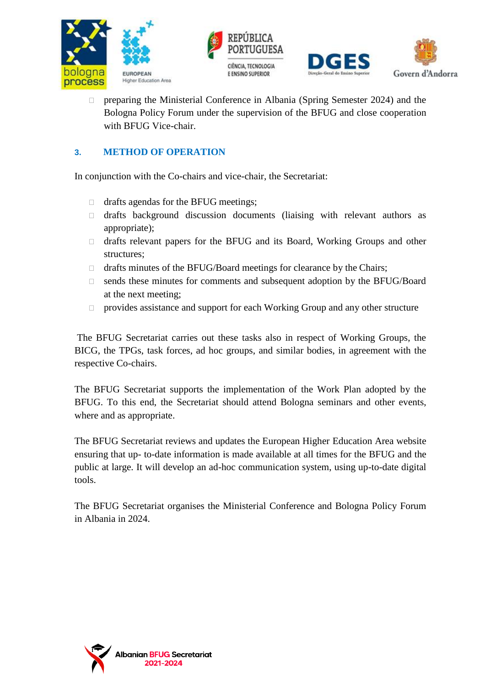





 preparing the Ministerial Conference in Albania (Spring Semester 2024) and the Bologna Policy Forum under the supervision of the BFUG and close cooperation with BFUG Vice-chair.

# **3. METHOD OF OPERATION**

In conjunction with the Co-chairs and vice-chair, the Secretariat:

- $\Box$  drafts agendas for the BFUG meetings;
- drafts background discussion documents (liaising with relevant authors as appropriate);
- drafts relevant papers for the BFUG and its Board, Working Groups and other structures;
- □ drafts minutes of the BFUG/Board meetings for clearance by the Chairs;
- sends these minutes for comments and subsequent adoption by the BFUG/Board at the next meeting;
- $\Box$  provides assistance and support for each Working Group and any other structure

The BFUG Secretariat carries out these tasks also in respect of Working Groups, the BICG, the TPGs, task forces, ad hoc groups, and similar bodies, in agreement with the respective Co-chairs.

The BFUG Secretariat supports the implementation of the Work Plan adopted by the BFUG. To this end, the Secretariat should attend Bologna seminars and other events, where and as appropriate.

The BFUG Secretariat reviews and updates the European Higher Education Area website ensuring that up- to-date information is made available at all times for the BFUG and the public at large. It will develop an ad-hoc communication system, using up-to-date digital tools.

The BFUG Secretariat organises the Ministerial Conference and Bologna Policy Forum in Albania in 2024.